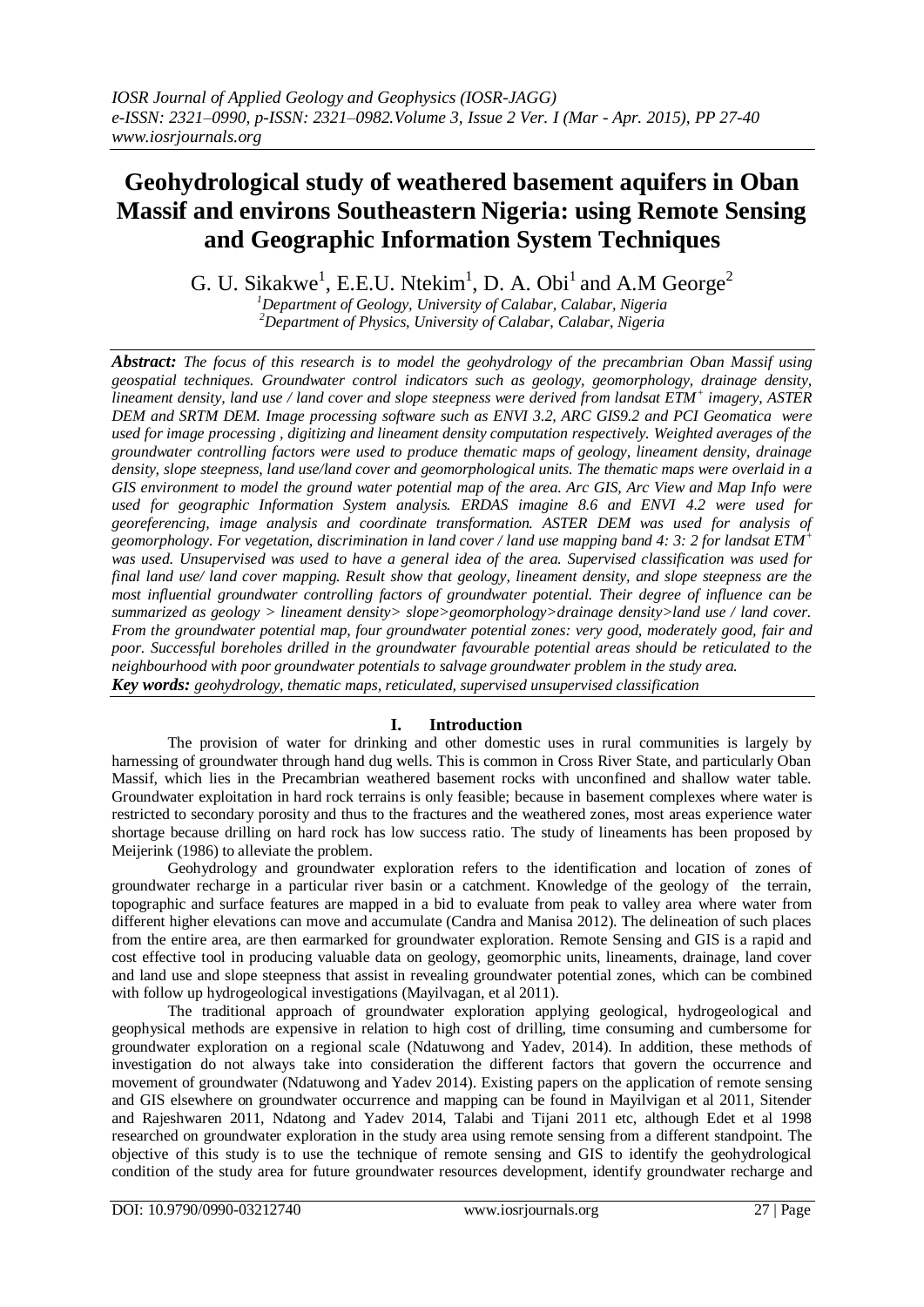# **Geohydrological study of weathered basement aquifers in Oban Massif and environs Southeastern Nigeria: using Remote Sensing and Geographic Information System Techniques**

G. U. Sikakwe<sup>1</sup>, E.E.U. Ntekim<sup>1</sup>, D. A. Obi<sup>1</sup> and A.M George<sup>2</sup>

*<sup>1</sup>Department of Geology, University of Calabar, Calabar, Nigeria <sup>2</sup>Department of Physics, University of Calabar, Calabar, Nigeria*

*Abstract: The focus of this research is to model the geohydrology of the precambrian Oban Massif using geospatial techniques. Groundwater control indicators such as geology, geomorphology, drainage density, lineament density, land use / land cover and slope steepness were derived from landsat ETM<sup>+</sup> imagery, ASTER DEM and SRTM DEM. Image processing software such as ENVI 3.2, ARC GIS9.2 and PCI Geomatica were used for image processing , digitizing and lineament density computation respectively. Weighted averages of the groundwater controlling factors were used to produce thematic maps of geology, lineament density, drainage density, slope steepness, land use/land cover and geomorphological units. The thematic maps were overlaid in a GIS environment to model the ground water potential map of the area. Arc GIS, Arc View and Map Info were used for geographic Information System analysis. ERDAS imagine 8.6 and ENVI 4.2 were used for georeferencing, image analysis and coordinate transformation. ASTER DEM was used for analysis of geomorphology. For vegetation, discrimination in land cover / land use mapping band 4: 3: 2 for landsat ETM<sup>+</sup> was used. Unsupervised was used to have a general idea of the area. Supervised classification was used for final land use/ land cover mapping. Result show that geology, lineament density, and slope steepness are the most influential groundwater controlling factors of groundwater potential. Their degree of influence can be summarized as geology > lineament density> slope>geomorphology>drainage density>land use / land cover. From the groundwater potential map, four groundwater potential zones: very good, moderately good, fair and poor. Successful boreholes drilled in the groundwater favourable potential areas should be reticulated to the neighbourhood with poor groundwater potentials to salvage groundwater problem in the study area. Key words: geohydrology, thematic maps, reticulated, supervised unsupervised classification*

# **I. Introduction**

The provision of water for drinking and other domestic uses in rural communities is largely by harnessing of groundwater through hand dug wells. This is common in Cross River State, and particularly Oban Massif, which lies in the Precambrian weathered basement rocks with unconfined and shallow water table. Groundwater exploitation in hard rock terrains is only feasible; because in basement complexes where water is restricted to secondary porosity and thus to the fractures and the weathered zones, most areas experience water shortage because drilling on hard rock has low success ratio. The study of lineaments has been proposed by Meijerink (1986) to alleviate the problem.

Geohydrology and groundwater exploration refers to the identification and location of zones of groundwater recharge in a particular river basin or a catchment. Knowledge of the geology of the terrain, topographic and surface features are mapped in a bid to evaluate from peak to valley area where water from different higher elevations can move and accumulate (Candra and Manisa 2012). The delineation of such places from the entire area, are then earmarked for groundwater exploration. Remote Sensing and GIS is a rapid and cost effective tool in producing valuable data on geology, geomorphic units, lineaments, drainage, land cover and land use and slope steepness that assist in revealing groundwater potential zones, which can be combined with follow up hydrogeological investigations (Mayilvagan, et al 2011).

The traditional approach of groundwater exploration applying geological, hydrogeological and geophysical methods are expensive in relation to high cost of drilling, time consuming and cumbersome for groundwater exploration on a regional scale (Ndatuwong and Yadev, 2014). In addition, these methods of investigation do not always take into consideration the different factors that govern the occurrence and movement of groundwater (Ndatuwong and Yadev 2014). Existing papers on the application of remote sensing and GIS elsewhere on groundwater occurrence and mapping can be found in Mayilvigan et al 2011, Sitender and Rajeshwaren 2011, Ndatong and Yadev 2014, Talabi and Tijani 2011 etc, although Edet et al 1998 researched on groundwater exploration in the study area using remote sensing from a different standpoint. The objective of this study is to use the technique of remote sensing and GIS to identify the geohydrological condition of the study area for future groundwater resources development, identify groundwater recharge and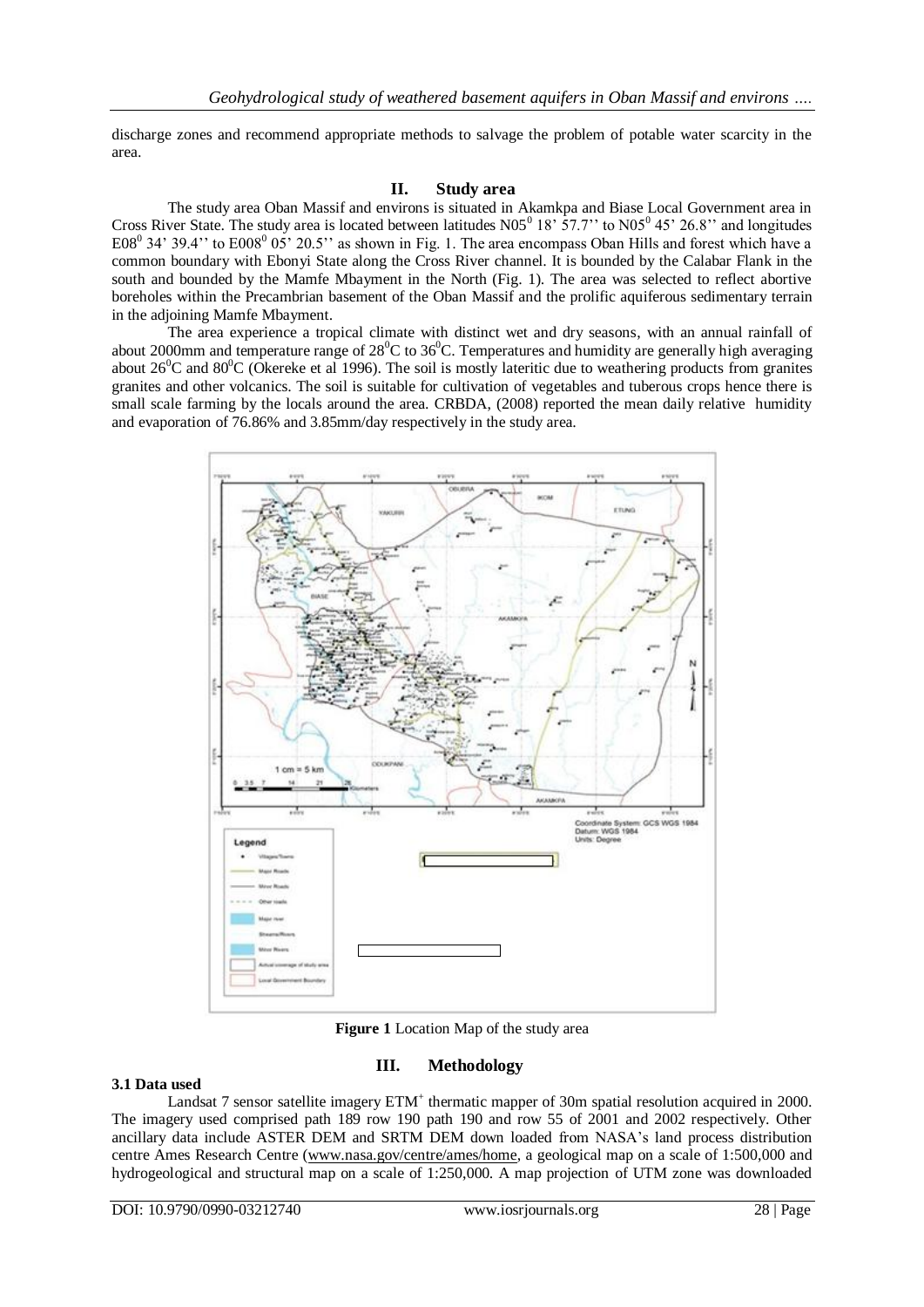discharge zones and recommend appropriate methods to salvage the problem of potable water scarcity in the area.

### **II. Study area**

The study area Oban Massif and environs is situated in Akamkpa and Biase Local Government area in Cross River State. The study area is located between latitudes  $N05^0 18' 57.7''$  to  $N05^0 45' 26.8''$  and longitudes E08<sup>0</sup> 34' 39.4'' to E008<sup>0</sup> 05' 20.5'' as shown in Fig. 1. The area encompass Oban Hills and forest which have a common boundary with Ebonyi State along the Cross River channel. It is bounded by the Calabar Flank in the south and bounded by the Mamfe Mbayment in the North (Fig. 1). The area was selected to reflect abortive boreholes within the Precambrian basement of the Oban Massif and the prolific aquiferous sedimentary terrain in the adjoining Mamfe Mbayment.

The area experience a tropical climate with distinct wet and dry seasons, with an annual rainfall of about 2000mm and temperature range of  $28^{\circ}$ C to  $36^{\circ}$ C. Temperatures and humidity are generally high averaging about  $26^{\circ}$ C and  $80^{\circ}$ C (Okereke et al 1996). The soil is mostly lateritic due to weathering products from granites granites and other volcanics. The soil is suitable for cultivation of vegetables and tuberous crops hence there is small scale farming by the locals around the area. CRBDA, (2008) reported the mean daily relative humidity and evaporation of 76.86% and 3.85mm/day respectively in the study area.



**Figure 1** Location Map of the study area

#### **3.1 Data used**

# **III. Methodology**

Landsat 7 sensor satellite imagery ETM<sup>+</sup> thermatic mapper of 30m spatial resolution acquired in 2000. The imagery used comprised path 189 row 190 path 190 and row 55 of 2001 and 2002 respectively. Other ancillary data include ASTER DEM and SRTM DEM down loaded from NASA's land process distribution centre Ames Research Centre [\(www.nasa.gov/centre/ames/home,](http://www.nasa.gov/centre/ames/home) a geological map on a scale of 1:500,000 and hydrogeological and structural map on a scale of 1:250,000. A map projection of UTM zone was downloaded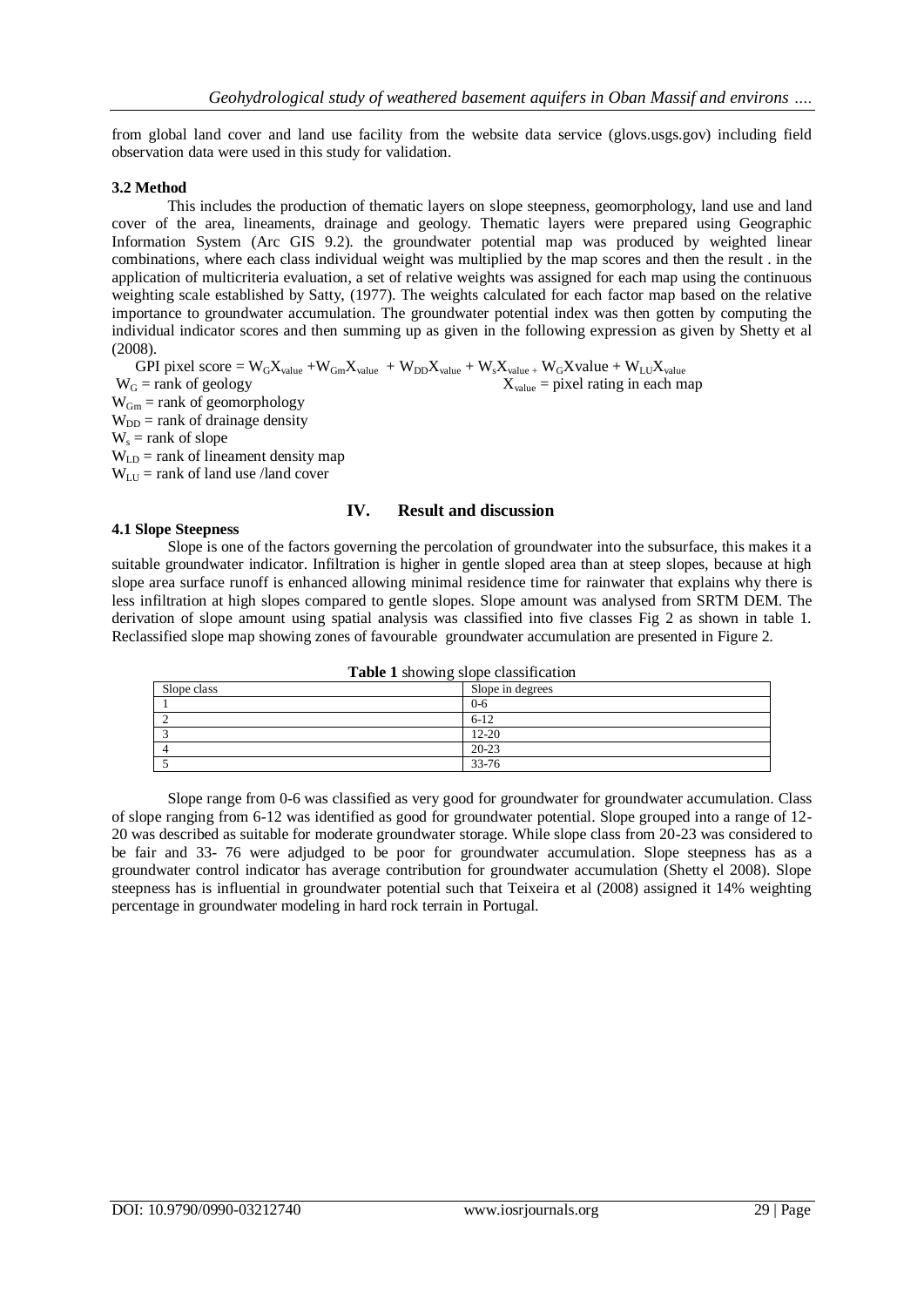from global land cover and land use facility from the website data service (glovs.usgs.gov) including field observation data were used in this study for validation.

#### **3.2 Method**

This includes the production of thematic layers on slope steepness, geomorphology, land use and land cover of the area, lineaments, drainage and geology. Thematic layers were prepared using Geographic Information System (Arc GIS 9.2). the groundwater potential map was produced by weighted linear combinations, where each class individual weight was multiplied by the map scores and then the result . in the application of multicriteria evaluation, a set of relative weights was assigned for each map using the continuous weighting scale established by Satty, (1977). The weights calculated for each factor map based on the relative importance to groundwater accumulation. The groundwater potential index was then gotten by computing the individual indicator scores and then summing up as given in the following expression as given by Shetty et al (2008).

GPI pixel score =  $W_GX_{value} + W_{Gm}X_{value} + W_{DD}X_{value} + W_sX_{value} + W_GX_{value} + W_{LU}X_{value}$ <br>  $W_G$  = rank of geology  $X_{value}$  = pixel rating in each map  $W_{Gm}$  = rank of geomorphology  $W_{DD}$  = rank of drainage density  $W_s$  = rank of slope  $W<sub>LD</sub>$  = rank of lineament density map  $W_{\text{LU}}$  = rank of land use /land cover

# **IV. Result and discussion**

#### **4.1 Slope Steepness**

Slope is one of the factors governing the percolation of groundwater into the subsurface, this makes it a suitable groundwater indicator. Infiltration is higher in gentle sloped area than at steep slopes, because at high slope area surface runoff is enhanced allowing minimal residence time for rainwater that explains why there is less infiltration at high slopes compared to gentle slopes. Slope amount was analysed from SRTM DEM. The derivation of slope amount using spatial analysis was classified into five classes Fig 2 as shown in table 1. Reclassified slope map showing zones of favourable groundwater accumulation are presented in Figure 2.

| <b>Rapid 1</b> showing stope classification |                  |  |
|---------------------------------------------|------------------|--|
| Slope class                                 | Slope in degrees |  |
|                                             | $0 - 6$          |  |
| ◠                                           | $6-12$           |  |
|                                             | $12 - 20$        |  |
| $\overline{4}$                              | $20 - 23$        |  |
|                                             | 33-76            |  |
|                                             |                  |  |

**Table 1** showing slope classification

Slope range from 0-6 was classified as very good for groundwater for groundwater accumulation. Class of slope ranging from 6-12 was identified as good for groundwater potential. Slope grouped into a range of 12- 20 was described as suitable for moderate groundwater storage. While slope class from 20-23 was considered to be fair and 33- 76 were adjudged to be poor for groundwater accumulation. Slope steepness has as a groundwater control indicator has average contribution for groundwater accumulation (Shetty el 2008). Slope steepness has is influential in groundwater potential such that Teixeira et al (2008) assigned it 14% weighting percentage in groundwater modeling in hard rock terrain in Portugal.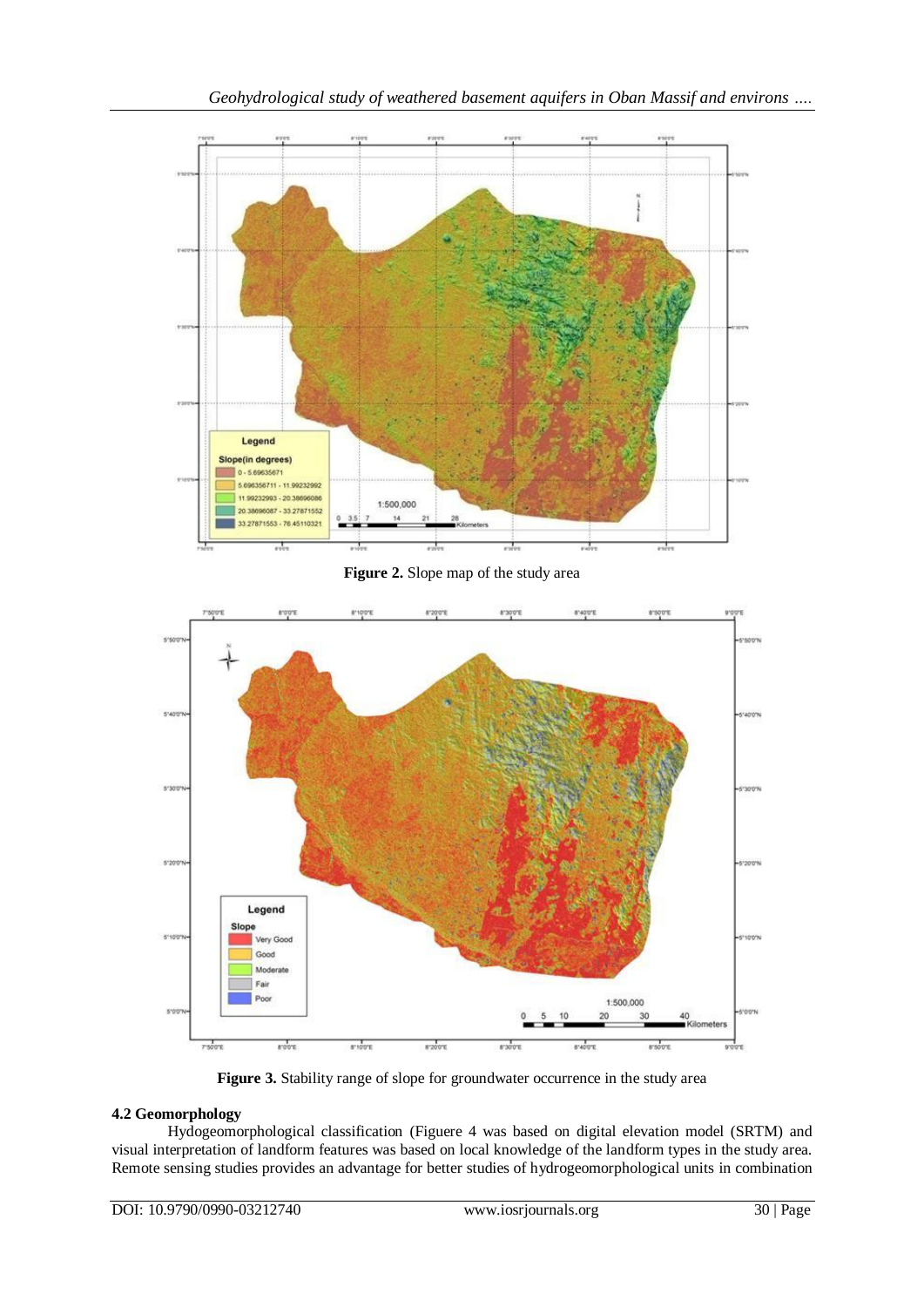

**Figure 2.** Slope map of the study area



Figure 3. Stability range of slope for groundwater occurrence in the study area

## **4.2 Geomorphology**

Hydogeomorphological classification (Figuere 4 was based on digital elevation model (SRTM) and visual interpretation of landform features was based on local knowledge of the landform types in the study area. Remote sensing studies provides an advantage for better studies of hydrogeomorphological units in combination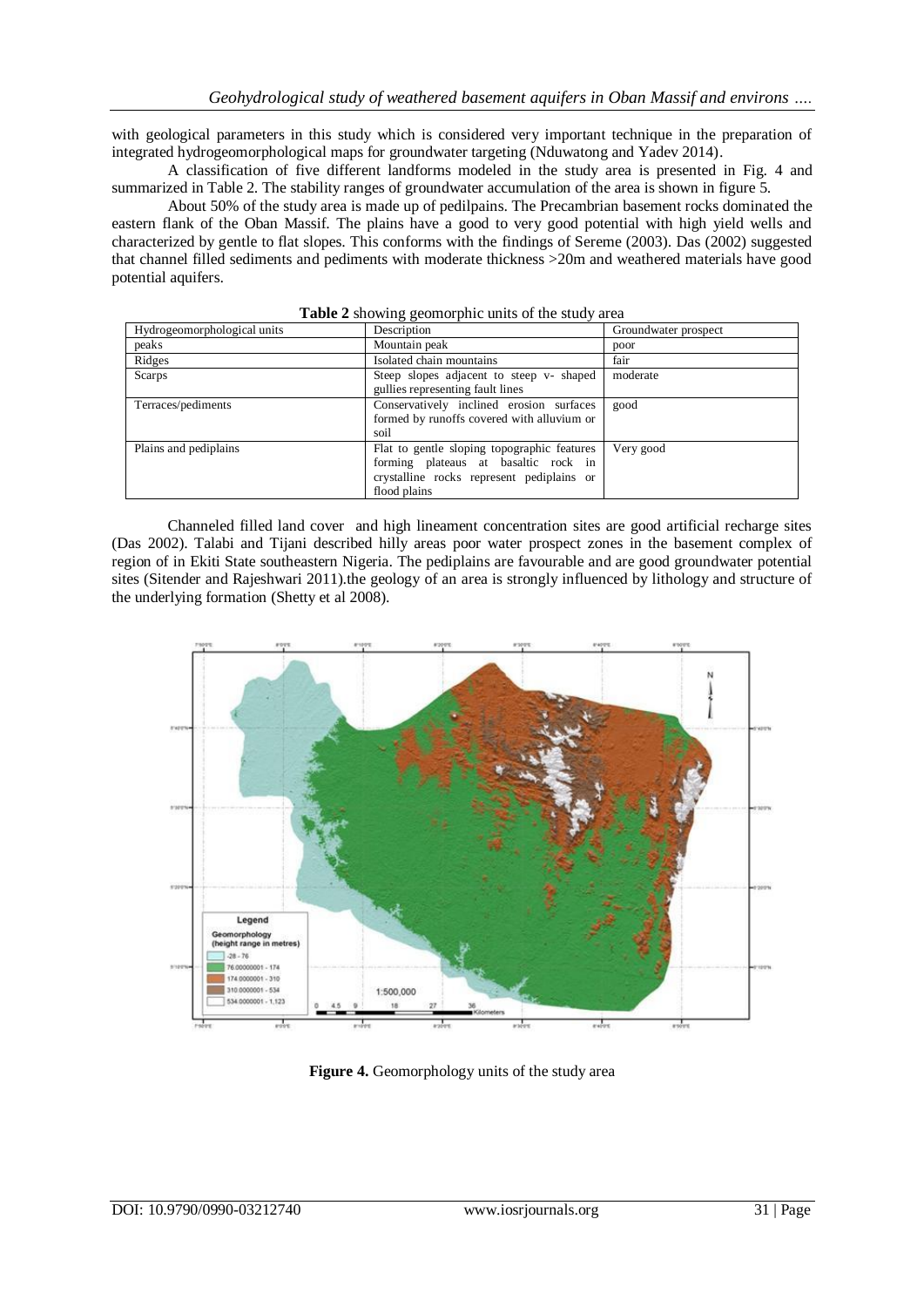with geological parameters in this study which is considered very important technique in the preparation of integrated hydrogeomorphological maps for groundwater targeting (Nduwatong and Yadev 2014).

A classification of five different landforms modeled in the study area is presented in Fig. 4 and summarized in Table 2. The stability ranges of groundwater accumulation of the area is shown in figure 5.

About 50% of the study area is made up of pedilpains. The Precambrian basement rocks dominated the eastern flank of the Oban Massif. The plains have a good to very good potential with high yield wells and characterized by gentle to flat slopes. This conforms with the findings of Sereme (2003). Das (2002) suggested that channel filled sediments and pediments with moderate thickness >20m and weathered materials have good potential aquifers.

| Hydrogeomorphological units | Description                                                                                                                                      | Groundwater prospect |
|-----------------------------|--------------------------------------------------------------------------------------------------------------------------------------------------|----------------------|
| peaks                       | Mountain peak                                                                                                                                    | poor                 |
| Ridges                      | Isolated chain mountains                                                                                                                         | fair                 |
| Scarps                      | Steep slopes adjacent to steep v- shaped<br>gullies representing fault lines                                                                     | moderate             |
| Terraces/pediments          | Conservatively inclined erosion surfaces<br>formed by runoffs covered with alluvium or<br>soil                                                   | good                 |
| Plains and pediplains       | Flat to gentle sloping topographic features<br>forming plateaus at basaltic rock in<br>crystalline rocks represent pediplains or<br>flood plains | Very good            |

**Table 2** showing geomorphic units of the study area

Channeled filled land cover and high lineament concentration sites are good artificial recharge sites (Das 2002). Talabi and Tijani described hilly areas poor water prospect zones in the basement complex of region of in Ekiti State southeastern Nigeria. The pediplains are favourable and are good groundwater potential sites (Sitender and Rajeshwari 2011).the geology of an area is strongly influenced by lithology and structure of the underlying formation (Shetty et al 2008).



**Figure 4.** Geomorphology units of the study area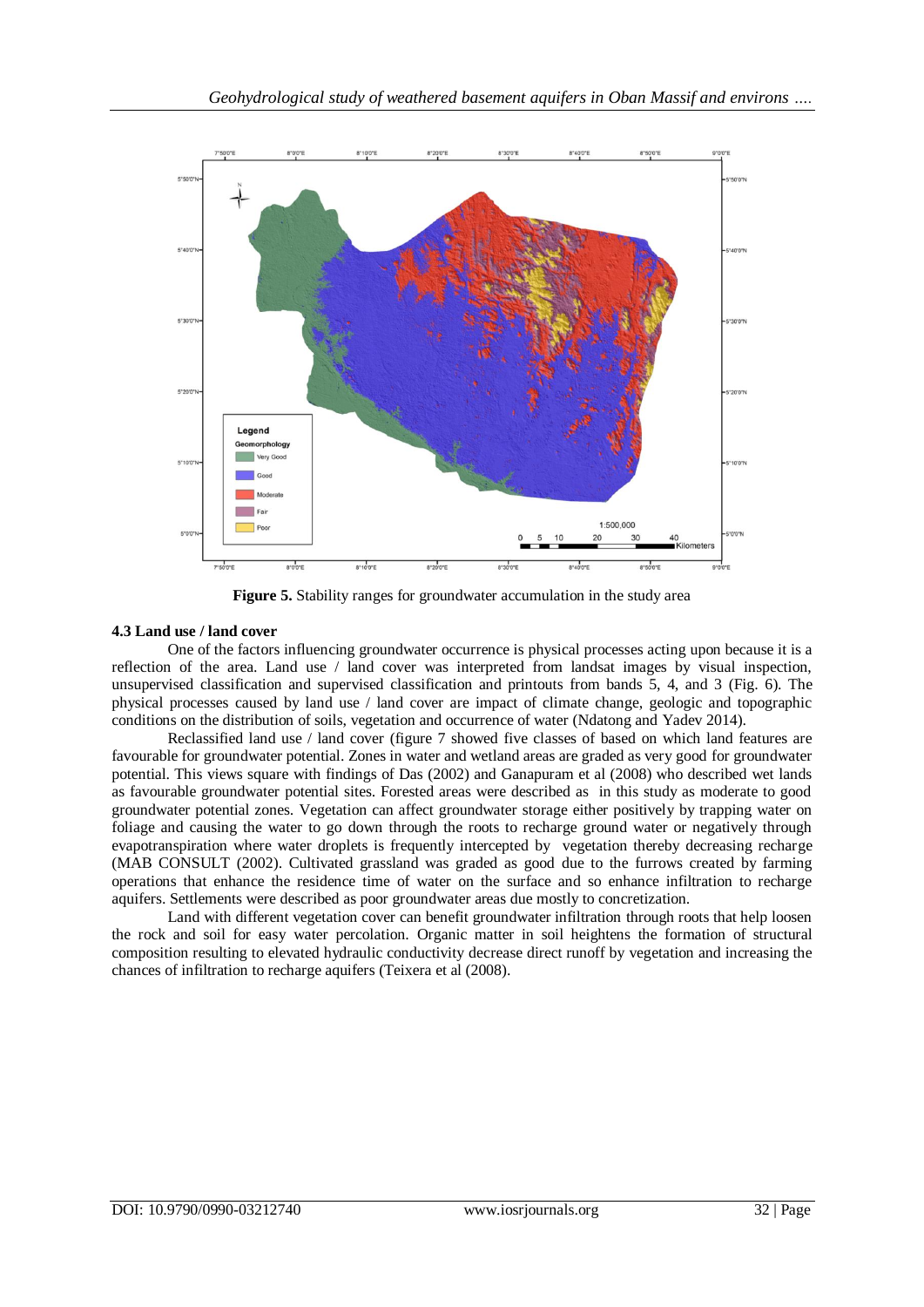

**Figure 5.** Stability ranges for groundwater accumulation in the study area

## **4.3 Land use / land cover**

One of the factors influencing groundwater occurrence is physical processes acting upon because it is a reflection of the area. Land use / land cover was interpreted from landsat images by visual inspection, unsupervised classification and supervised classification and printouts from bands 5, 4, and 3 (Fig. 6). The physical processes caused by land use / land cover are impact of climate change, geologic and topographic conditions on the distribution of soils, vegetation and occurrence of water (Ndatong and Yadev 2014).

Reclassified land use / land cover (figure 7 showed five classes of based on which land features are favourable for groundwater potential. Zones in water and wetland areas are graded as very good for groundwater potential. This views square with findings of Das (2002) and Ganapuram et al (2008) who described wet lands as favourable groundwater potential sites. Forested areas were described as in this study as moderate to good groundwater potential zones. Vegetation can affect groundwater storage either positively by trapping water on foliage and causing the water to go down through the roots to recharge ground water or negatively through evapotranspiration where water droplets is frequently intercepted by vegetation thereby decreasing recharge (MAB CONSULT (2002). Cultivated grassland was graded as good due to the furrows created by farming operations that enhance the residence time of water on the surface and so enhance infiltration to recharge aquifers. Settlements were described as poor groundwater areas due mostly to concretization.

Land with different vegetation cover can benefit groundwater infiltration through roots that help loosen the rock and soil for easy water percolation. Organic matter in soil heightens the formation of structural composition resulting to elevated hydraulic conductivity decrease direct runoff by vegetation and increasing the chances of infiltration to recharge aquifers (Teixera et al (2008).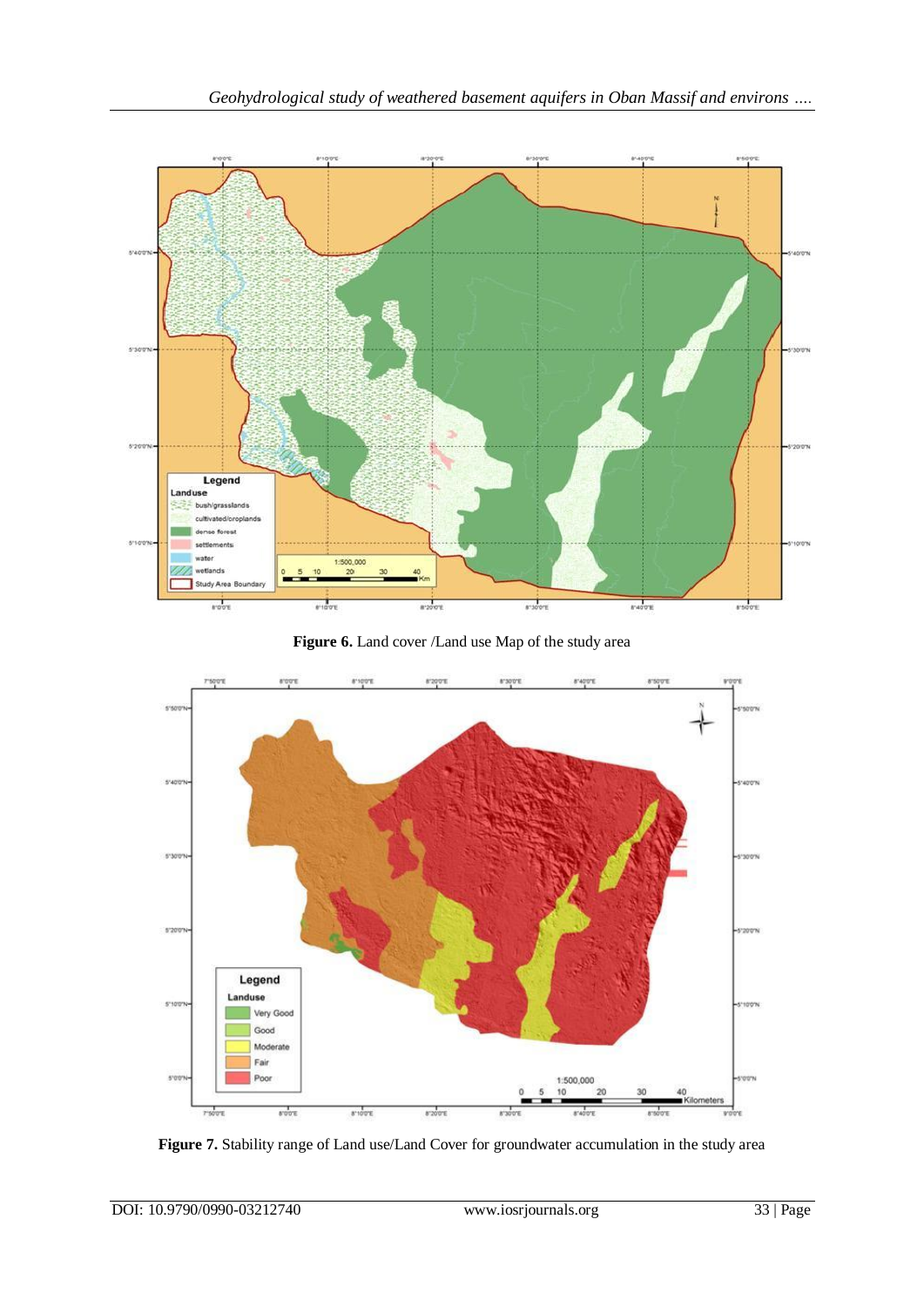

**Figure 6.** Land cover /Land use Map of the study area



**Figure 7.** Stability range of Land use/Land Cover for groundwater accumulation in the study area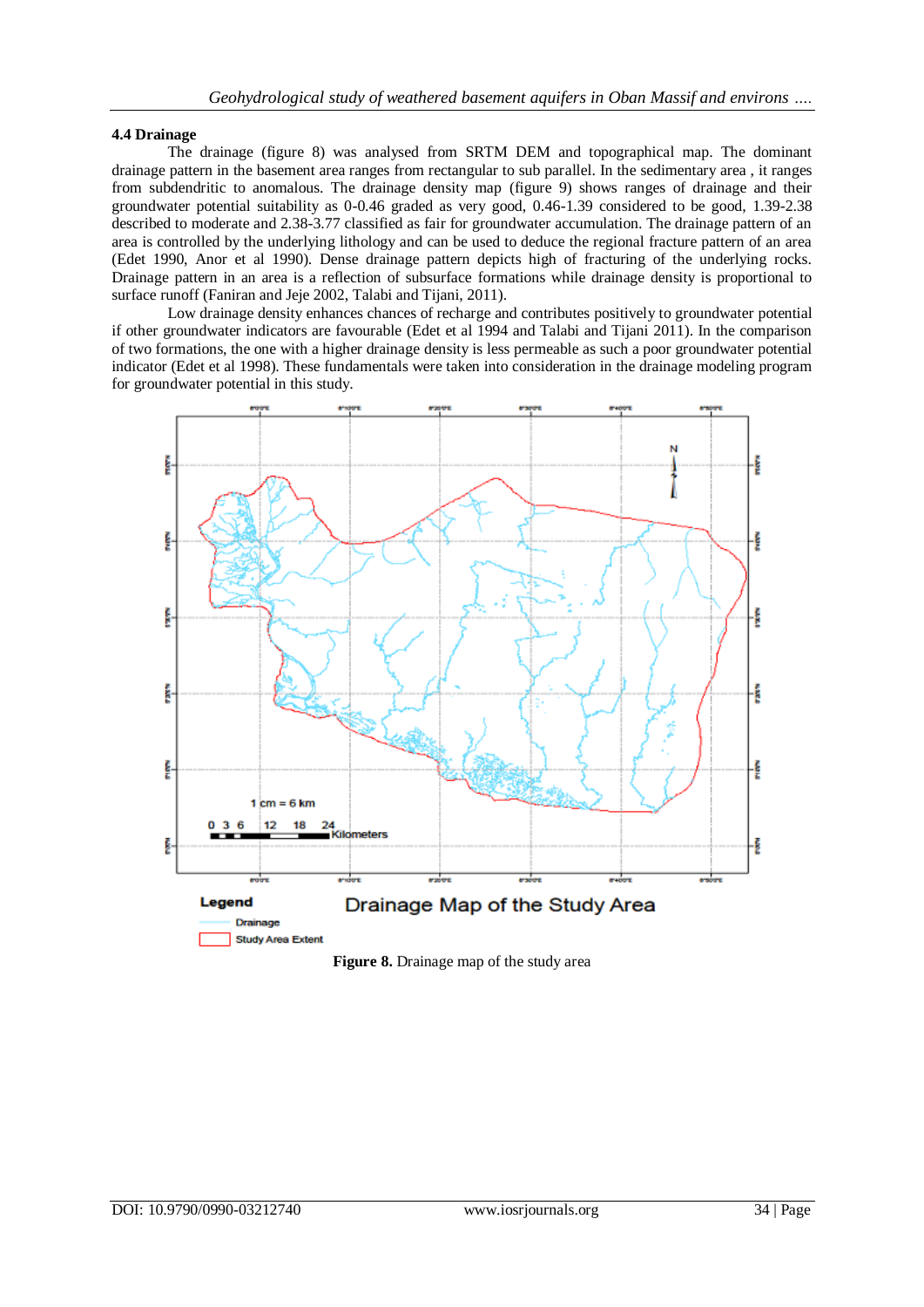#### **4.4 Drainage**

The drainage (figure 8) was analysed from SRTM DEM and topographical map. The dominant drainage pattern in the basement area ranges from rectangular to sub parallel. In the sedimentary area , it ranges from subdendritic to anomalous. The drainage density map (figure 9) shows ranges of drainage and their groundwater potential suitability as 0-0.46 graded as very good, 0.46-1.39 considered to be good, 1.39-2.38 described to moderate and 2.38-3.77 classified as fair for groundwater accumulation. The drainage pattern of an area is controlled by the underlying lithology and can be used to deduce the regional fracture pattern of an area (Edet 1990, Anor et al 1990). Dense drainage pattern depicts high of fracturing of the underlying rocks. Drainage pattern in an area is a reflection of subsurface formations while drainage density is proportional to surface runoff (Faniran and Jeje 2002, Talabi and Tijani, 2011).

Low drainage density enhances chances of recharge and contributes positively to groundwater potential if other groundwater indicators are favourable (Edet et al 1994 and Talabi and Tijani 2011). In the comparison of two formations, the one with a higher drainage density is less permeable as such a poor groundwater potential indicator (Edet et al 1998). These fundamentals were taken into consideration in the drainage modeling program for groundwater potential in this study.



**Figure 8.** Drainage map of the study area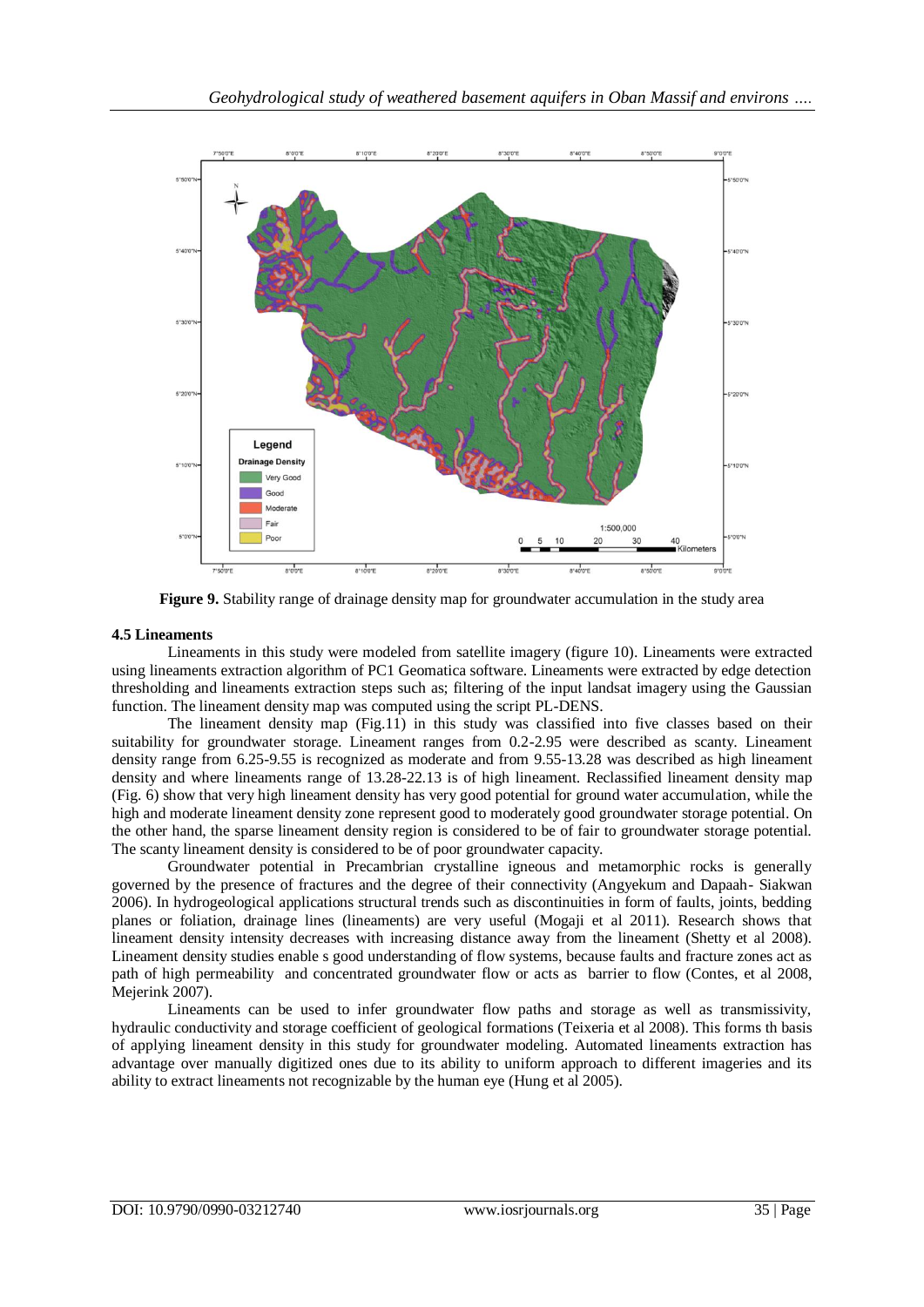

**Figure 9.** Stability range of drainage density map for groundwater accumulation in the study area

#### **4.5 Lineaments**

Lineaments in this study were modeled from satellite imagery (figure 10). Lineaments were extracted using lineaments extraction algorithm of PC1 Geomatica software. Lineaments were extracted by edge detection thresholding and lineaments extraction steps such as; filtering of the input landsat imagery using the Gaussian function. The lineament density map was computed using the script PL-DENS.

The lineament density map (Fig.11) in this study was classified into five classes based on their suitability for groundwater storage. Lineament ranges from 0.2-2.95 were described as scanty. Lineament density range from 6.25-9.55 is recognized as moderate and from 9.55-13.28 was described as high lineament density and where lineaments range of 13.28-22.13 is of high lineament. Reclassified lineament density map (Fig. 6) show that very high lineament density has very good potential for ground water accumulation, while the high and moderate lineament density zone represent good to moderately good groundwater storage potential. On the other hand, the sparse lineament density region is considered to be of fair to groundwater storage potential. The scanty lineament density is considered to be of poor groundwater capacity.

Groundwater potential in Precambrian crystalline igneous and metamorphic rocks is generally governed by the presence of fractures and the degree of their connectivity (Angyekum and Dapaah- Siakwan 2006). In hydrogeological applications structural trends such as discontinuities in form of faults, joints, bedding planes or foliation, drainage lines (lineaments) are very useful (Mogaji et al 2011). Research shows that lineament density intensity decreases with increasing distance away from the lineament (Shetty et al 2008). Lineament density studies enable s good understanding of flow systems, because faults and fracture zones act as path of high permeability and concentrated groundwater flow or acts as barrier to flow (Contes, et al 2008, Mejerink 2007).

Lineaments can be used to infer groundwater flow paths and storage as well as transmissivity, hydraulic conductivity and storage coefficient of geological formations (Teixeria et al 2008). This forms th basis of applying lineament density in this study for groundwater modeling. Automated lineaments extraction has advantage over manually digitized ones due to its ability to uniform approach to different imageries and its ability to extract lineaments not recognizable by the human eye (Hung et al 2005).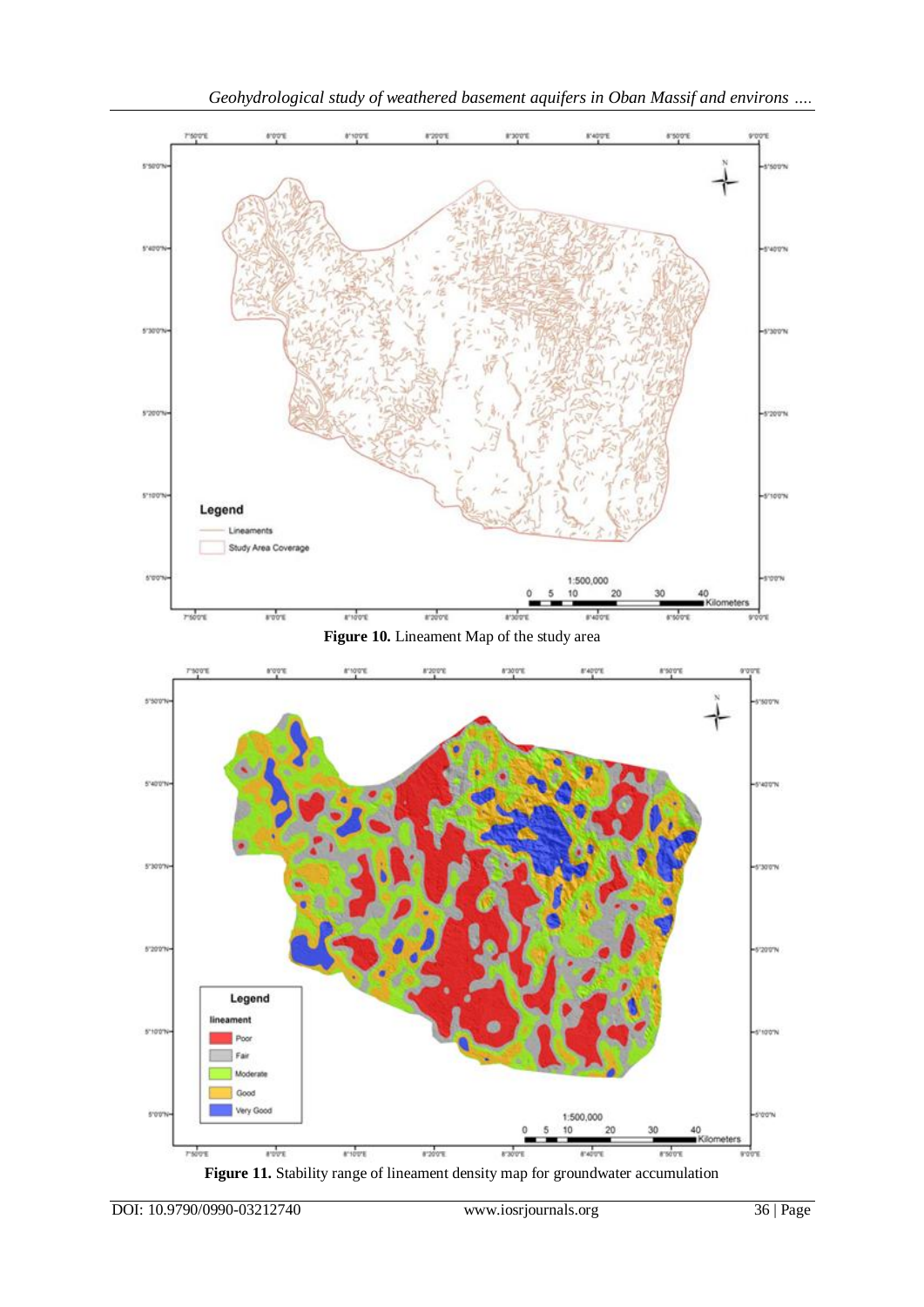

*Geohydrological study of weathered basement aquifers in Oban Massif and environs ….*

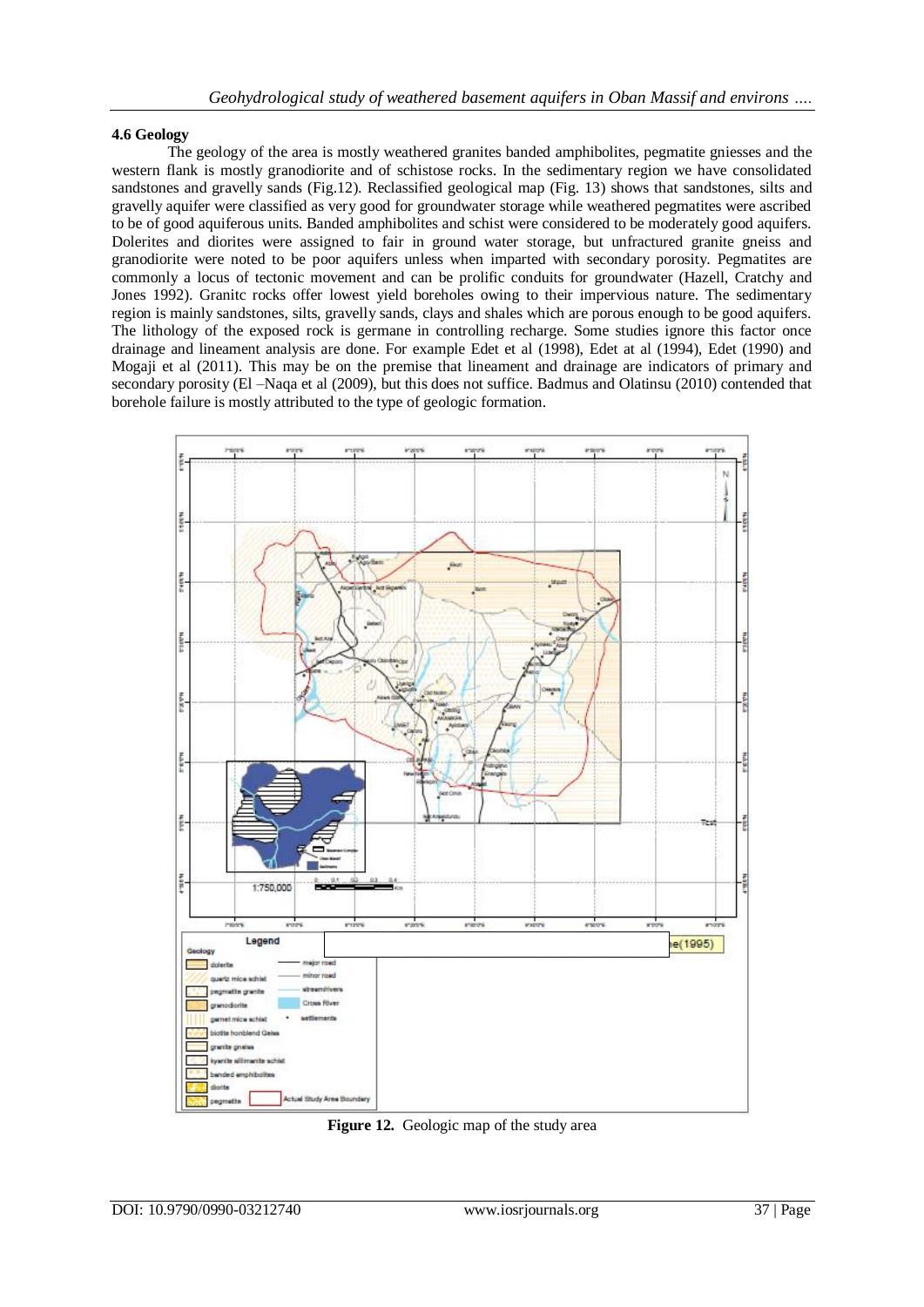## **4.6 Geology**

The geology of the area is mostly weathered granites banded amphibolites, pegmatite gniesses and the western flank is mostly granodiorite and of schistose rocks. In the sedimentary region we have consolidated sandstones and gravelly sands (Fig.12). Reclassified geological map (Fig. 13) shows that sandstones, silts and gravelly aquifer were classified as very good for groundwater storage while weathered pegmatites were ascribed to be of good aquiferous units. Banded amphibolites and schist were considered to be moderately good aquifers. Dolerites and diorites were assigned to fair in ground water storage, but unfractured granite gneiss and granodiorite were noted to be poor aquifers unless when imparted with secondary porosity. Pegmatites are commonly a locus of tectonic movement and can be prolific conduits for groundwater (Hazell, Cratchy and Jones 1992). Granitc rocks offer lowest yield boreholes owing to their impervious nature. The sedimentary region is mainly sandstones, silts, gravelly sands, clays and shales which are porous enough to be good aquifers. The lithology of the exposed rock is germane in controlling recharge. Some studies ignore this factor once drainage and lineament analysis are done. For example Edet et al (1998), Edet at al (1994), Edet (1990) and Mogaji et al (2011). This may be on the premise that lineament and drainage are indicators of primary and secondary porosity (El –Naqa et al (2009), but this does not suffice. Badmus and Olatinsu (2010) contended that borehole failure is mostly attributed to the type of geologic formation.



**Figure 12.** Geologic map of the study area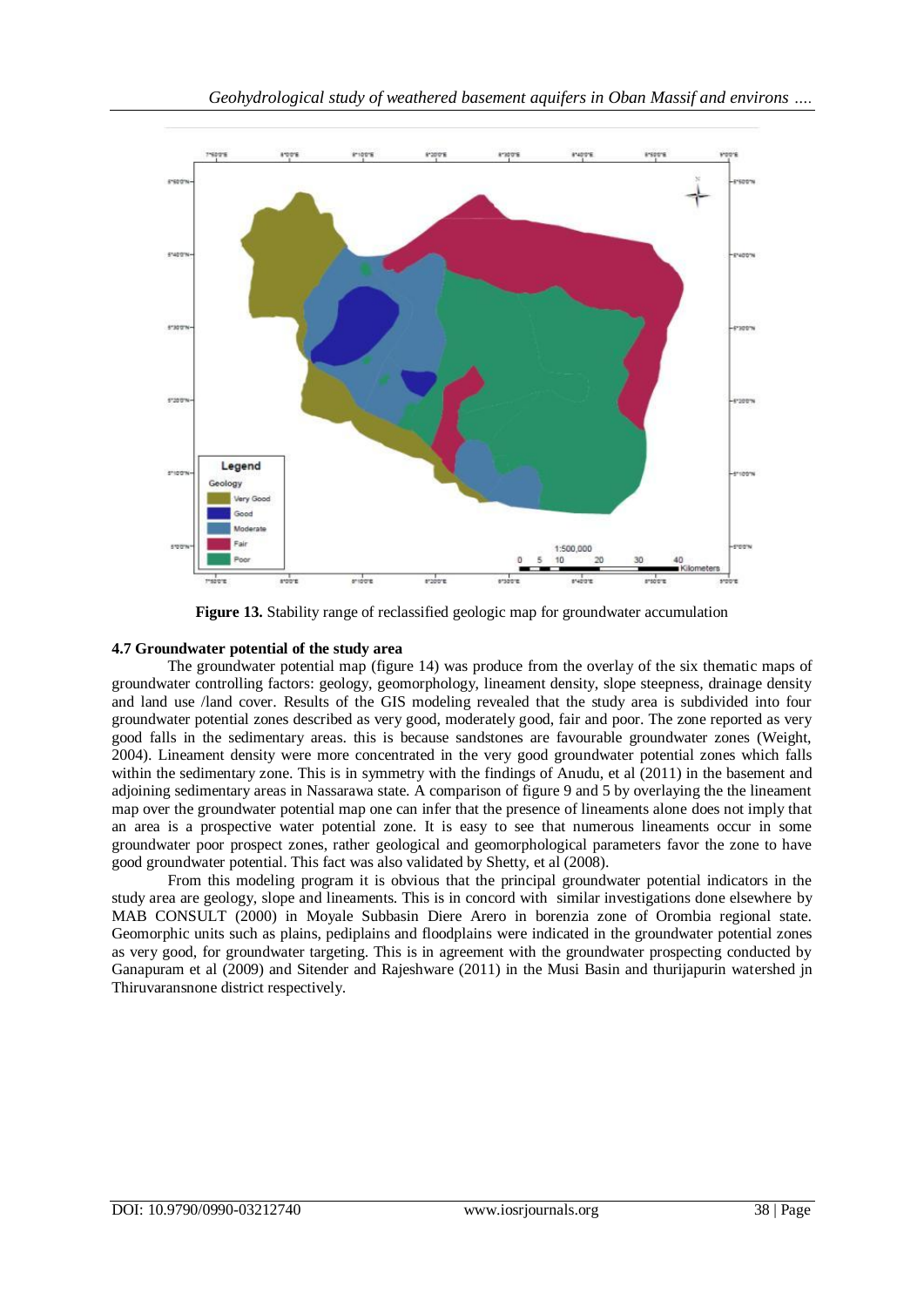

**Figure 13.** Stability range of reclassified geologic map for groundwater accumulation

## **4.7 Groundwater potential of the study area**

The groundwater potential map (figure 14) was produce from the overlay of the six thematic maps of groundwater controlling factors: geology, geomorphology, lineament density, slope steepness, drainage density and land use /land cover. Results of the GIS modeling revealed that the study area is subdivided into four groundwater potential zones described as very good, moderately good, fair and poor. The zone reported as very good falls in the sedimentary areas. this is because sandstones are favourable groundwater zones (Weight, 2004). Lineament density were more concentrated in the very good groundwater potential zones which falls within the sedimentary zone. This is in symmetry with the findings of Anudu, et al (2011) in the basement and adjoining sedimentary areas in Nassarawa state. A comparison of figure 9 and 5 by overlaying the the lineament map over the groundwater potential map one can infer that the presence of lineaments alone does not imply that an area is a prospective water potential zone. It is easy to see that numerous lineaments occur in some groundwater poor prospect zones, rather geological and geomorphological parameters favor the zone to have good groundwater potential. This fact was also validated by Shetty, et al (2008).

From this modeling program it is obvious that the principal groundwater potential indicators in the study area are geology, slope and lineaments. This is in concord with similar investigations done elsewhere by MAB CONSULT (2000) in Moyale Subbasin Diere Arero in borenzia zone of Orombia regional state. Geomorphic units such as plains, pediplains and floodplains were indicated in the groundwater potential zones as very good, for groundwater targeting. This is in agreement with the groundwater prospecting conducted by Ganapuram et al (2009) and Sitender and Rajeshware (2011) in the Musi Basin and thurijapurin watershed jn Thiruvaransnone district respectively.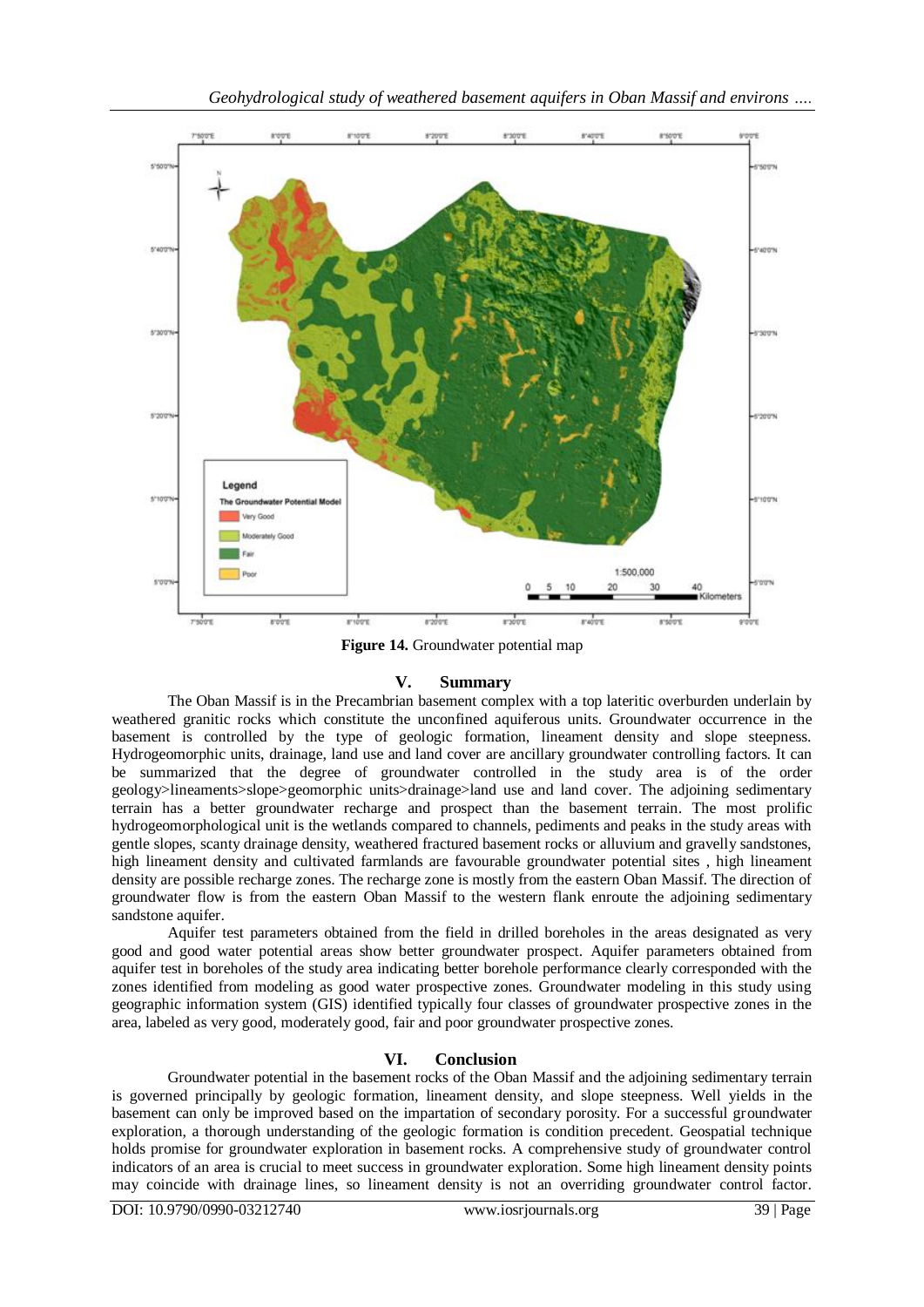

*Geohydrological study of weathered basement aquifers in Oban Massif and environs ….*

**Figure 14.** Groundwater potential map

## **V. Summary**

The Oban Massif is in the Precambrian basement complex with a top lateritic overburden underlain by weathered granitic rocks which constitute the unconfined aquiferous units. Groundwater occurrence in the basement is controlled by the type of geologic formation, lineament density and slope steepness. Hydrogeomorphic units, drainage, land use and land cover are ancillary groundwater controlling factors. It can be summarized that the degree of groundwater controlled in the study area is of the order geology>lineaments>slope>geomorphic units>drainage>land use and land cover. The adjoining sedimentary terrain has a better groundwater recharge and prospect than the basement terrain. The most prolific hydrogeomorphological unit is the wetlands compared to channels, pediments and peaks in the study areas with gentle slopes, scanty drainage density, weathered fractured basement rocks or alluvium and gravelly sandstones, high lineament density and cultivated farmlands are favourable groundwater potential sites , high lineament density are possible recharge zones. The recharge zone is mostly from the eastern Oban Massif. The direction of groundwater flow is from the eastern Oban Massif to the western flank enroute the adjoining sedimentary sandstone aquifer.

Aquifer test parameters obtained from the field in drilled boreholes in the areas designated as very good and good water potential areas show better groundwater prospect. Aquifer parameters obtained from aquifer test in boreholes of the study area indicating better borehole performance clearly corresponded with the zones identified from modeling as good water prospective zones. Groundwater modeling in this study using geographic information system (GIS) identified typically four classes of groundwater prospective zones in the area, labeled as very good, moderately good, fair and poor groundwater prospective zones.

# **VI. Conclusion**

Groundwater potential in the basement rocks of the Oban Massif and the adjoining sedimentary terrain is governed principally by geologic formation, lineament density, and slope steepness. Well yields in the basement can only be improved based on the impartation of secondary porosity. For a successful groundwater exploration, a thorough understanding of the geologic formation is condition precedent. Geospatial technique holds promise for groundwater exploration in basement rocks. A comprehensive study of groundwater control indicators of an area is crucial to meet success in groundwater exploration. Some high lineament density points may coincide with drainage lines, so lineament density is not an overriding groundwater control factor.